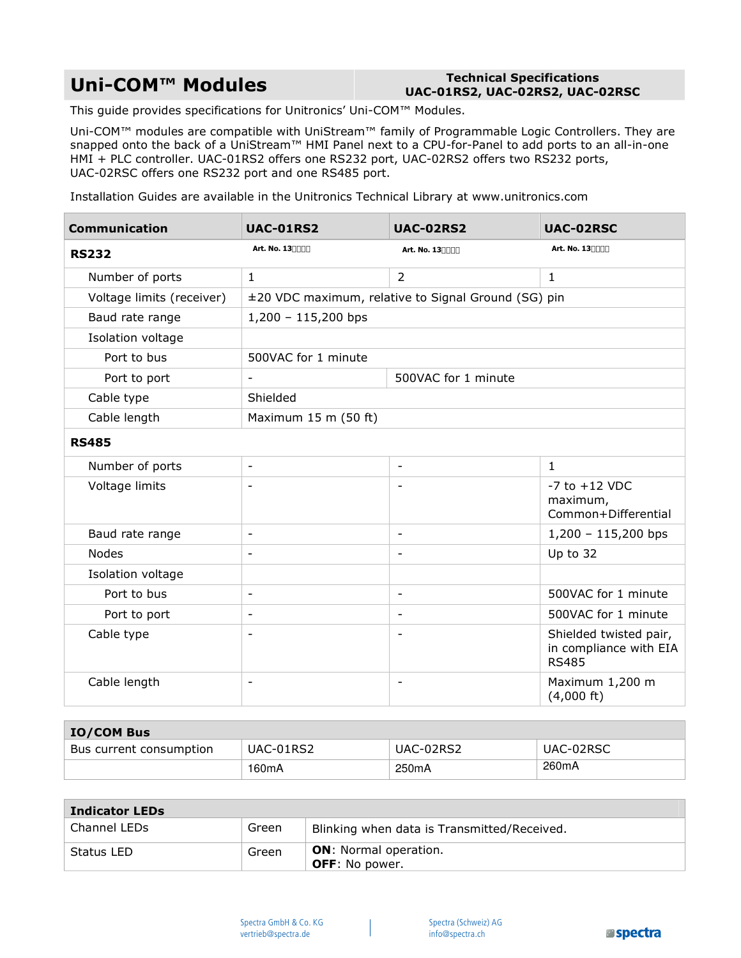## **Uni-COM™ Modules Technical Specifications**

## **UAC-01RS2, UAC-02RS2, UAC-02RSC**

This guide provides specifications for Unitronics' Uni-COM™ Modules.

Uni-COM™ modules are compatible with UniStream™ family of Programmable Logic Controllers. They are snapped onto the back of a UniStream™ HMI Panel next to a CPU-for-Panel to add ports to an all-in-one HMI + PLC controller. UAC-01RS2 offers one RS232 port, UAC-02RS2 offers two RS232 ports, UAC-02RSC offers one RS232 port and one RS485 port.

Installation Guides are available in the Unitronics Technical Library at www.unitronics.com

| <b>Communication</b>      | <b>UAC-01RS2</b>                                    | <b>UAC-02RS2</b>         | <b>UAC-02RSC</b>                                                 |  |
|---------------------------|-----------------------------------------------------|--------------------------|------------------------------------------------------------------|--|
| <b>RS232</b>              | Art. No. 13%%()                                     | Art. No. 13%%(*          | Art. No. 13%+, -                                                 |  |
| Number of ports           | $\mathbf{1}$                                        | 2                        | 1                                                                |  |
| Voltage limits (receiver) | ±20 VDC maximum, relative to Signal Ground (SG) pin |                          |                                                                  |  |
| Baud rate range           | $1,200 - 115,200$ bps                               |                          |                                                                  |  |
| Isolation voltage         |                                                     |                          |                                                                  |  |
| Port to bus               | 500VAC for 1 minute                                 |                          |                                                                  |  |
| Port to port              |                                                     | 500VAC for 1 minute      |                                                                  |  |
| Cable type                | Shielded                                            |                          |                                                                  |  |
| Cable length              | Maximum 15 m (50 ft)                                |                          |                                                                  |  |
| <b>RS485</b>              |                                                     |                          |                                                                  |  |
| Number of ports           | $\blacksquare$                                      | $\blacksquare$           | $\mathbf{1}$                                                     |  |
| Voltage limits            | $\overline{\phantom{a}}$                            | $\overline{\phantom{a}}$ | $-7$ to $+12$ VDC<br>maximum,<br>Common+Differential             |  |
| Baud rate range           | $\blacksquare$                                      | $\blacksquare$           | $1,200 - 115,200$ bps                                            |  |
| <b>Nodes</b>              | $\overline{\phantom{a}}$                            | $\overline{\phantom{a}}$ | Up to 32                                                         |  |
| Isolation voltage         |                                                     |                          |                                                                  |  |
| Port to bus               | $\blacksquare$                                      | $\blacksquare$           | 500VAC for 1 minute                                              |  |
| Port to port              | $\blacksquare$                                      | $\blacksquare$           | 500VAC for 1 minute                                              |  |
| Cable type                | $\blacksquare$                                      | $\overline{\phantom{0}}$ | Shielded twisted pair,<br>in compliance with EIA<br><b>RS485</b> |  |
| Cable length              | $\overline{\phantom{0}}$                            | $\overline{\phantom{a}}$ | Maximum 1,200 m<br>$(4,000 \text{ ft})$                          |  |

| <b>IO/COM Bus</b>       |                    |           |           |  |  |  |
|-------------------------|--------------------|-----------|-----------|--|--|--|
| Bus current consumption | UAC-01RS2          | UAC-02RS2 | UAC-02RSC |  |  |  |
|                         | 160 <sub>m</sub> A | 250mA     | 260mA     |  |  |  |

| <b>Indicator LEDs</b> |       |                                                       |  |  |
|-----------------------|-------|-------------------------------------------------------|--|--|
| Channel LEDs          | Green | Blinking when data is Transmitted/Received.           |  |  |
| Status LED            | Green | <b>ON:</b> Normal operation.<br><b>OFF:</b> No power. |  |  |